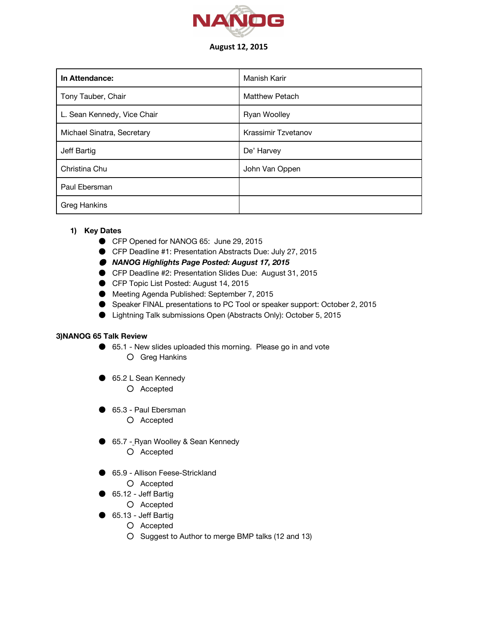

## August 12, 2015

| In Attendance:              | Manish Karir        |
|-----------------------------|---------------------|
| Tony Tauber, Chair          | Matthew Petach      |
| L. Sean Kennedy, Vice Chair | <b>Ryan Woolley</b> |
| Michael Sinatra, Secretary  | Krassimir Tzvetanov |
| Jeff Bartig                 | De' Harvey          |
| Christina Chu               | John Van Oppen      |
| Paul Ebersman               |                     |
| <b>Greg Hankins</b>         |                     |

## **1) Key Dates**

- CFP Opened for NANOG 65: June 29, 2015
- CFP Deadline #1: Presentation Abstracts Due: July 27, 2015
- *NANOG Highlights Page Posted: August 17, 2015*
- CFP Deadline #2: Presentation Slides Due: August 31, 2015
- CFP Topic List Posted: August 14, 2015
- Meeting Agenda Published: September 7, 2015
- Speaker FINAL presentations to PC Tool or speaker support: October 2, 2015
- Lightning Talk submissions Open (Abstracts Only): October 5, 2015

## **3)NANOG 65 Talk Review**

- 65.1 New slides uploaded this morning. Please go in and vote ○ Greg Hankins
- 65.2 L Sean Kennedy
	- Accepted
- 65.3 Paul Ebersman
	- Accepted
- 65.7 Ryan Woolley & Sean Kennedy
	- Accepted
- 65.9 Allison Feese-Strickland
	- Accepted
- 65.12 Jeff Bartig
	- Accepted
- 65.13 Jeff Bartig
	- Accepted
	- Suggest to Author to merge BMP talks (12 and 13)